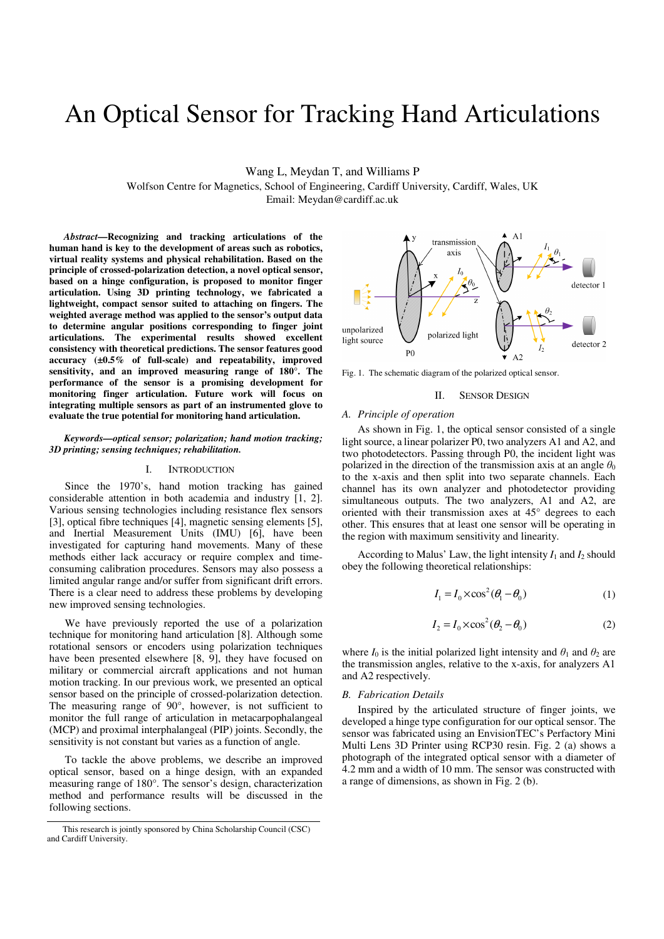# An Optical Sensor for Tracking Hand Articulations

Wang L, Meydan T, and Williams P

Wolfson Centre for Magnetics, School of Engineering, Cardiff University, Cardiff, Wales, UK

Email: Meydan@cardiff.ac.uk

*Abstract***—Recognizing and tracking articulations of the human hand is key to the development of areas such as robotics, virtual reality systems and physical rehabilitation. Based on the principle of crossed-polarization detection, a novel optical sensor, based on a hinge configuration, is proposed to monitor finger articulation. Using 3D printing technology, we fabricated a lightweight, compact sensor suited to attaching on fingers. The weighted average method was applied to the sensor's output data to determine angular positions corresponding to finger joint articulations. The experimental results showed excellent consistency with theoretical predictions. The sensor features good accuracy (±0.5% of full-scale) and repeatability, improved sensitivity, and an improved measuring range of 180°. The performance of the sensor is a promising development for monitoring finger articulation. Future work will focus on integrating multiple sensors as part of an instrumented glove to evaluate the true potential for monitoring hand articulation.**

# *Keywords—optical sensor; polarization; hand motion tracking; 3D printing; sensing techniques; rehabilitation.*

# I. INTRODUCTION

Since the 1970's, hand motion tracking has gained considerable attention in both academia and industry [1, 2]. Various sensing technologies including resistance flex sensors [3], optical fibre techniques [4], magnetic sensing elements [5], and Inertial Measurement Units (IMU) [6], have been investigated for capturing hand movements. Many of these methods either lack accuracy or require complex and timeconsuming calibration procedures. Sensors may also possess a limited angular range and/or suffer from significant drift errors. There is a clear need to address these problems by developing new improved sensing technologies.

We have previously reported the use of a polarization technique for monitoring hand articulation [8]. Although some rotational sensors or encoders using polarization techniques have been presented elsewhere [8, 9], they have focused on military or commercial aircraft applications and not human motion tracking. In our previous work, we presented an optical sensor based on the principle of crossed-polarization detection. The measuring range of 90°, however, is not sufficient to monitor the full range of articulation in metacarpophalangeal (MCP) and proximal interphalangeal (PIP) joints. Secondly, the sensitivity is not constant but varies as a function of angle.

To tackle the above problems, we describe an improved optical sensor, based on a hinge design, with an expanded measuring range of 180°. The sensor's design, characterization method and performance results will be discussed in the following sections.



Fig. 1. The schematic diagram of the polarized optical sensor.

# II. SENSOR DESIGN

#### *A. Principle of operation*

As shown in Fig. 1, the optical sensor consisted of a single light source, a linear polarizer P0, two analyzers A1 and A2, and two photodetectors. Passing through P0, the incident light was polarized in the direction of the transmission axis at an angle  $\theta_0$ to the x-axis and then split into two separate channels. Each channel has its own analyzer and photodetector providing simultaneous outputs. The two analyzers, A1 and A2, are oriented with their transmission axes at 45° degrees to each other. This ensures that at least one sensor will be operating in the region with maximum sensitivity and linearity.

According to Malus' Law, the light intensity  $I_1$  and  $I_2$  should obey the following theoretical relationships:

$$
I_1 = I_0 \times \cos^2(\theta_1 - \theta_0) \tag{1}
$$

$$
I_2 = I_0 \times \cos^2(\theta_2 - \theta_0) \tag{2}
$$

where  $I_0$  is the initial polarized light intensity and  $\theta_1$  and  $\theta_2$  are the transmission angles, relative to the x-axis, for analyzers A1 and A2 respectively.

### *B. Fabrication Details*

Inspired by the articulated structure of finger joints, we developed a hinge type configuration for our optical sensor. The sensor was fabricated using an EnvisionTEC's Perfactory Mini Multi Lens 3D Printer using RCP30 resin. Fig. 2 (a) shows a photograph of the integrated optical sensor with a diameter of 4.2 mm and a width of 10 mm. The sensor was constructed with a range of dimensions, as shown in Fig. 2 (b).

This research is jointly sponsored by China Scholarship Council (CSC) and Cardiff University.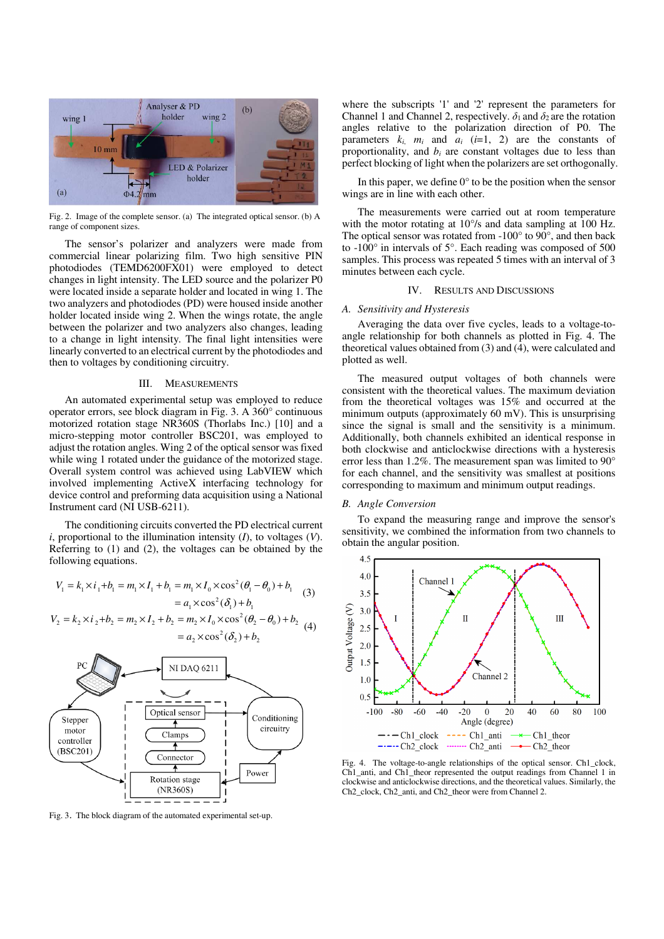

Fig. 2. Image of the complete sensor. (a) The integrated optical sensor. (b) A range of component sizes.

The sensor's polarizer and analyzers were made from commercial linear polarizing film. Two high sensitive PIN photodiodes (TEMD6200FX01) were employed to detect changes in light intensity. The LED source and the polarizer P0 were located inside a separate holder and located in wing 1. The two analyzers and photodiodes (PD) were housed inside another holder located inside wing 2. When the wings rotate, the angle between the polarizer and two analyzers also changes, leading to a change in light intensity. The final light intensities were linearly converted to an electrical current by the photodiodes and then to voltages by conditioning circuitry.

# III. MEASUREMENTS

An automated experimental setup was employed to reduce operator errors, see block diagram in Fig. 3. A 360° continuous motorized rotation stage NR360S (Thorlabs Inc.) [10] and a micro-stepping motor controller BSC201, was employed to adjust the rotation angles. Wing 2 of the optical sensor was fixed while wing 1 rotated under the guidance of the motorized stage. Overall system control was achieved using LabVIEW which involved implementing ActiveX interfacing technology for device control and preforming data acquisition using a National Instrument card (NI USB-6211).

The conditioning circuits converted the PD electrical current *i*, proportional to the illumination intensity (*I*), to voltages (*V*). Referring to (1) and (2), the voltages can be obtained by the following equations.

$$
V_1 = k_1 \times i_1 + b_1 = m_1 \times I_1 + b_1 = m_1 \times I_0 \times \cos^2(\theta_1 - \theta_0) + b_1
$$
  
=  $a_1 \times \cos^2(\delta_1) + b_1$  (3)

$$
V_2 = k_2 \times i_2 + b_2 = m_2 \times I_2 + b_2 = m_2 \times I_0 \times \cos^2(\theta_2 - \theta_0) + b_2
$$
  
=  $a_2 \times \cos^2(\delta_2) + b_2$  (4)



Fig. 3. The block diagram of the automated experimental set-up.

where the subscripts '1' and '2' represent the parameters for Channel 1 and Channel 2, respectively.  $\delta_1$  and  $\delta_2$  are the rotation angles relative to the polarization direction of P0. The parameters  $k_i$ ,  $m_i$  and  $a_i$  ( $i=1$ , 2) are the constants of proportionality, and *bi* are constant voltages due to less than perfect blocking of light when the polarizers are set orthogonally.

In this paper, we define  $0^{\circ}$  to be the position when the sensor wings are in line with each other.

The measurements were carried out at room temperature with the motor rotating at 10°/s and data sampling at 100 Hz. The optical sensor was rotated from -100° to 90°, and then back to -100° in intervals of 5°. Each reading was composed of 500 samples. This process was repeated 5 times with an interval of 3 minutes between each cycle.

## IV. RESULTS AND DISCUSSIONS

# *A. Sensitivity and Hysteresis*

Averaging the data over five cycles, leads to a voltage-toangle relationship for both channels as plotted in Fig. 4. The theoretical values obtained from  $(3)$  and  $(4)$ , were calculated and plotted as well.

The measured output voltages of both channels were consistent with the theoretical values. The maximum deviation from the theoretical voltages was 15% and occurred at the minimum outputs (approximately 60 mV). This is unsurprising since the signal is small and the sensitivity is a minimum. Additionally, both channels exhibited an identical response in both clockwise and anticlockwise directions with a hysteresis error less than 1.2%. The measurement span was limited to 90° for each channel, and the sensitivity was smallest at positions corresponding to maximum and minimum output readings.

# *B. Angle Conversion*

To expand the measuring range and improve the sensor's sensitivity, we combined the information from two channels to obtain the angular position.



Fig. 4. The voltage-to-angle relationships of the optical sensor. Ch1\_clock, Ch1\_anti, and Ch1\_theor represented the output readings from Channel 1 in clockwise and anticlockwise directions, and the theoretical values. Similarly, the Ch2\_clock, Ch2\_anti, and Ch2\_theor were from Channel 2.